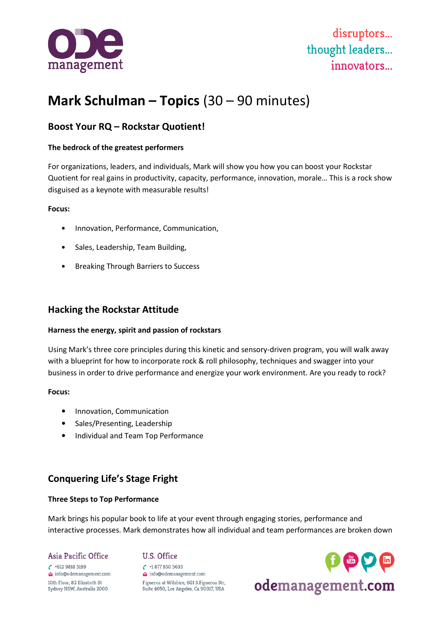

# **Mark Schulman – Topics** (30 – 90 minutes)

## **Boost Your RQ – Rockstar Quotient!**

#### **The bedrock of the greatest performers**

For organizations, leaders, and individuals, Mark will show you how you can boost your Rockstar Quotient for real gains in productivity, capacity, performance, innovation, morale… This is a rock show disguised as a keynote with measurable results!

#### **Focus:**

- Innovation, Performance, Communication,
- Sales, Leadership, Team Building,
- Breaking Through Barriers to Success

### **Hacking the Rockstar Attitude**

#### **Harness the energy, spirit and passion of rockstars**

Using Mark's three core principles during this kinetic and sensory-driven program, you will walk away with a blueprint for how to incorporate rock & roll philosophy, techniques and swagger into your business in order to drive performance and energize your work environment. Are you ready to rock?

#### **Focus:**

- Innovation, Communication
- Sales/Presenting, Leadership
- Individual and Team Top Performance

## **Conquering Life's Stage Fright**

#### **Three Steps to Top Performance**

Mark brings his popular book to life at your event through engaging stories, performance and interactive processes. Mark demonstrates how all individual and team performances are broken down

Asia Pacific Office  $\binom{+61298185199}{ }$ info@odemanagement.com 10th Floor, 82 Elizabeth St Sydney NSW, Australia 2000

#### U.S. Office

 $\binom{+18779505633}{ }$ info@odemanagement.com Figueroa at Wilshire, 601 S.Figueroa Str, Suite 4050, Los Angeles, Ca 90017, USA